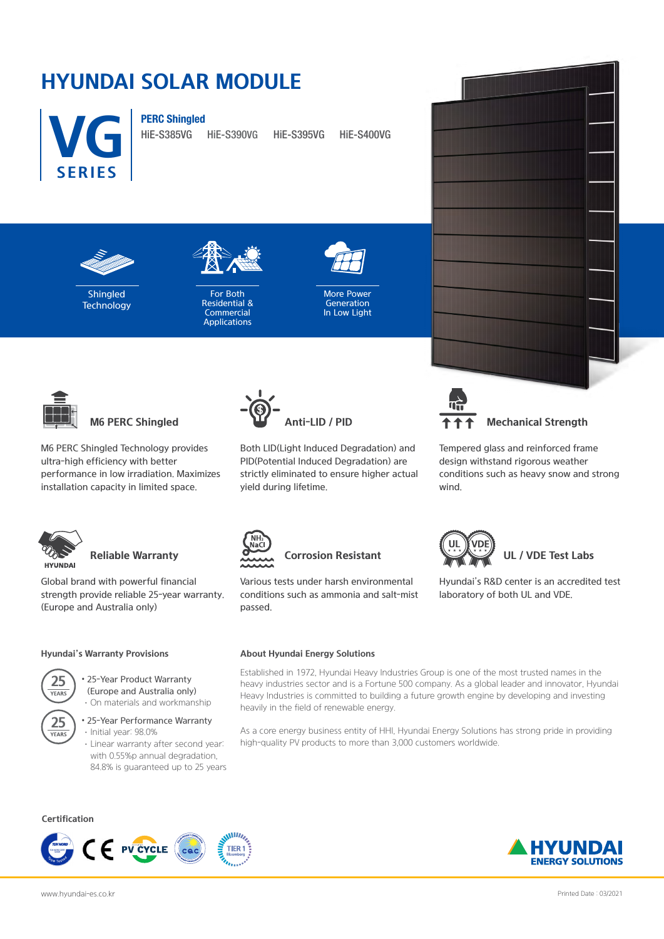# **HYUNDAI SOLAR MODULE**



PERC Shingled

HiE-S385VG HiE-S390VG HiE-S395VG HiE-S400VG



Shingled **Technology** 



For Both Residential & **Commercial Applications** 



More Power Generation In Low Light



M6 PERC Shingled Technology provides ultra-high efficiency with better performance in low irradiation. Maximizes installation capacity in limited space.



Global brand with powerful financial strength provide reliable 25-year warranty. (Europe and Australia only)

#### **Hyundai's Warranty Provisions**



- 25-Year Product Warranty (Europe and Australia only)
- **25** YEAR<sup>®</sup>
- ·On materials and workmanship • 25-Year Performance Warranty
	- ·Initial year: 98.0% ·Linear warranty after second year: with 0.55%p annual degradation, 84.8% is guaranteed up to 25 years







Both LID(Light Induced Degradation) and PID(Potential Induced Degradation) are strictly eliminated to ensure higher actual yield during lifetime.



Tempered glass and reinforced frame design withstand rigorous weather conditions such as heavy snow and strong wind.

Hyundai's R&D center is an accredited test

laboratory of both UL and VDE.



## **Reliable Warranty Corrosion Resistant UL / VDE Test Labs**

Various tests under harsh environmental conditions such as ammonia and salt-mist passed.

#### **About Hyundai Energy Solutions**

Established in 1972, Hyundai Heavy Industries Group is one of the most trusted names in the heavy industries sector and is a Fortune 500 company. As a global leader and innovator, Hyundai Heavy Industries is committed to building a future growth engine by developing and investing heavily in the field of renewable energy.

As a core energy business entity of HHI, Hyundai Energy Solutions has strong pride in providing high-quality PV products to more than 3,000 customers worldwide.